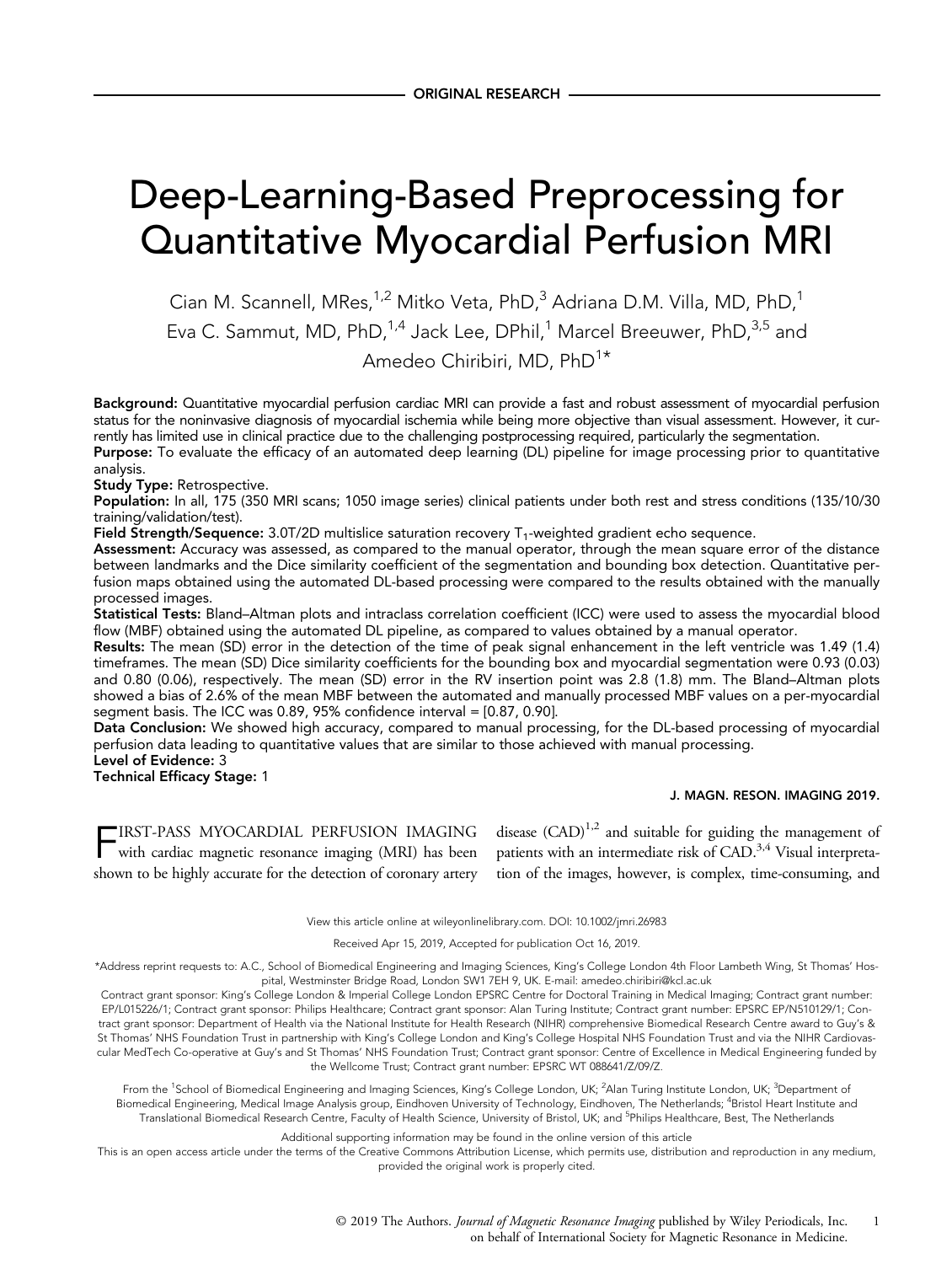# Deep-Learning-Based Preprocessing for Quantitative Myocardial Perfusion MRI

Cian M. Scannell, MRes,<sup>1,2</sup> Mitko Veta, PhD,<sup>3</sup> Adriana D.M. Villa, MD, PhD,<sup>1</sup> Eva C. Sammut, MD, PhD,<sup>1,4</sup> Jack Lee, DPhil,<sup>1</sup> Marcel Breeuwer, PhD,<sup>3,5</sup> and Amedeo Chiribiri, MD, PhD1\*

Background: Quantitative myocardial perfusion cardiac MRI can provide a fast and robust assessment of myocardial perfusion status for the noninvasive diagnosis of myocardial ischemia while being more objective than visual assessment. However, it currently has limited use in clinical practice due to the challenging postprocessing required, particularly the segmentation.

Purpose: To evaluate the efficacy of an automated deep learning (DL) pipeline for image processing prior to quantitative analysis.

Study Type: Retrospective.

Population: In all, 175 (350 MRI scans; 1050 image series) clinical patients under both rest and stress conditions (135/10/30 training/validation/test).

Field Strength/Sequence:  $3.0T/2D$  multislice saturation recovery  $T_1$ -weighted gradient echo sequence.

Assessment: Accuracy was assessed, as compared to the manual operator, through the mean square error of the distance between landmarks and the Dice similarity coefficient of the segmentation and bounding box detection. Quantitative perfusion maps obtained using the automated DL-based processing were compared to the results obtained with the manually processed images.

Statistical Tests: Bland–Altman plots and intraclass correlation coefficient (ICC) were used to assess the myocardial blood flow (MBF) obtained using the automated DL pipeline, as compared to values obtained by a manual operator.

Results: The mean (SD) error in the detection of the time of peak signal enhancement in the left ventricle was 1.49 (1.4) timeframes. The mean (SD) Dice similarity coefficients for the bounding box and myocardial segmentation were 0.93 (0.03) and 0.80 (0.06), respectively. The mean (SD) error in the RV insertion point was 2.8 (1.8) mm. The Bland–Altman plots showed a bias of 2.6% of the mean MBF between the automated and manually processed MBF values on a per-myocardial segment basis. The ICC was 0.89, 95% confidence interval = [0.87, 0.90].

Data Conclusion: We showed high accuracy, compared to manual processing, for the DL-based processing of myocardial perfusion data leading to quantitative values that are similar to those achieved with manual processing. Level of Evidence: 3

Technical Efficacy Stage: 1

#### J. MAGN. RESON. IMAGING 2019.

FIRST-PASS MYOCARDIAL PERFUSION IMAGING with cardiac magnetic resonance imaging (MRI) has been shown to be highly accurate for the detection of coronary artery disease  $(CAD)^{1,2}$  and suitable for guiding the management of patients with an intermediate risk of CAD.<sup>3,4</sup> Visual interpretation of the images, however, is complex, time-consuming, and

View this article online at wileyonlinelibrary.com. DOI: 10.1002/jmri.26983

Received Apr 15, 2019, Accepted for publication Oct 16, 2019.

\*Address reprint requests to: A.C., School of Biomedical Engineering and Imaging Sciences, King's College London 4th Floor Lambeth Wing, St Thomas' Hospital, Westminster Bridge Road, London SW1 7EH 9, UK. E-mail: [amedeo.chiribiri@kcl.ac.uk](mailto:amedeo.chiribiri@kcl.ac.uk)

Contract grant sponsor: King's College London & Imperial College London EPSRC Centre for Doctoral Training in Medical Imaging; Contract grant number: EP/L015226/1; Contract grant sponsor: Philips Healthcare; Contract grant sponsor: Alan Turing Institute; Contract grant number: EPSRC EP/N510129/1; Contract grant sponsor: Department of Health via the National Institute for Health Research (NIHR) comprehensive Biomedical Research Centre award to Guy's & St Thomas' NHS Foundation Trust in partnership with King's College London and King's College Hospital NHS Foundation Trust and via the NIHR Cardiovascular MedTech Co-operative at Guy's and St Thomas' NHS Foundation Trust; Contract grant sponsor: Centre of Excellence in Medical Engineering funded by the Wellcome Trust; Contract grant number: EPSRC WT 088641/Z/09/Z.

From the <sup>1</sup>School of Biomedical Engineering and Imaging Sciences, King's College London, UK; <sup>2</sup>Alan Turing Institute London, UK; <sup>3</sup>Department of Biomedical Engineering, Medical Image Analysis group, Eindhoven University of Technology, Eindhoven, The Netherlands; <sup>4</sup>Bristol Heart Institute and Translational Biomedical Research Centre, Faculty of Health Science, University of Bristol, UK; and <sup>5</sup>Philips Healthcare, Best, The Netherlands

Additional supporting information may be found in the online version of this article

This is an open access article under the terms of the [Creative Commons Attribution](http://creativecommons.org/licenses/by/4.0/) License, which permits use, distribution and reproduction in any medium, provided the original work is properly cited.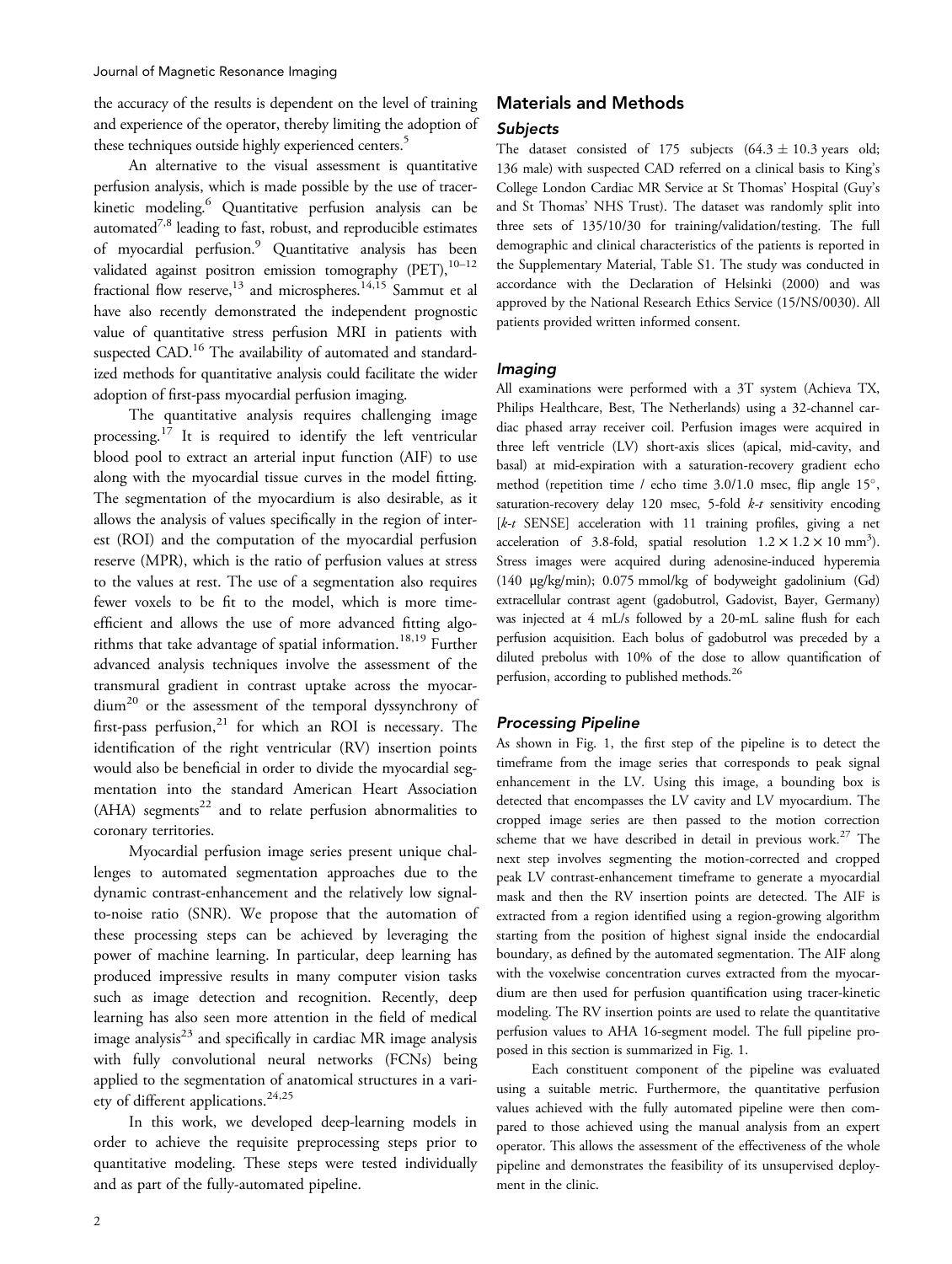the accuracy of the results is dependent on the level of training and experience of the operator, thereby limiting the adoption of these techniques outside highly experienced centers.<sup>5</sup>

An alternative to the visual assessment is quantitative perfusion analysis, which is made possible by the use of tracerkinetic modeling.6 Quantitative perfusion analysis can be automated<sup>7,8</sup> leading to fast, robust, and reproducible estimates of myocardial perfusion.9 Quantitative analysis has been validated against positron emission tomography  $(PET)$ ,<sup>10–12</sup> fractional flow reserve,<sup>13</sup> and microspheres.<sup>14,15</sup> Sammut et al have also recently demonstrated the independent prognostic value of quantitative stress perfusion MRI in patients with suspected CAD.<sup>16</sup> The availability of automated and standardized methods for quantitative analysis could facilitate the wider adoption of first-pass myocardial perfusion imaging.

The quantitative analysis requires challenging image processing.<sup>17</sup> It is required to identify the left ventricular blood pool to extract an arterial input function (AIF) to use along with the myocardial tissue curves in the model fitting. The segmentation of the myocardium is also desirable, as it allows the analysis of values specifically in the region of interest (ROI) and the computation of the myocardial perfusion reserve (MPR), which is the ratio of perfusion values at stress to the values at rest. The use of a segmentation also requires fewer voxels to be fit to the model, which is more timeefficient and allows the use of more advanced fitting algorithms that take advantage of spatial information.<sup>18,19</sup> Further advanced analysis techniques involve the assessment of the transmural gradient in contrast uptake across the myocardium<sup>20</sup> or the assessment of the temporal dyssynchrony of first-pass perfusion, $21$  for which an ROI is necessary. The identification of the right ventricular (RV) insertion points would also be beneficial in order to divide the myocardial segmentation into the standard American Heart Association  $(AHA)$  segments<sup>22</sup> and to relate perfusion abnormalities to coronary territories.

Myocardial perfusion image series present unique challenges to automated segmentation approaches due to the dynamic contrast-enhancement and the relatively low signalto-noise ratio (SNR). We propose that the automation of these processing steps can be achieved by leveraging the power of machine learning. In particular, deep learning has produced impressive results in many computer vision tasks such as image detection and recognition. Recently, deep learning has also seen more attention in the field of medical image analysis $^{23}$  and specifically in cardiac MR image analysis with fully convolutional neural networks (FCNs) being applied to the segmentation of anatomical structures in a variety of different applications.<sup>24,25</sup>

In this work, we developed deep-learning models in order to achieve the requisite preprocessing steps prior to quantitative modeling. These steps were tested individually and as part of the fully-automated pipeline.

# Materials and Methods

## **Subjects**

The dataset consisted of 175 subjects  $(64.3 \pm 10.3 \text{ years}$  old; 136 male) with suspected CAD referred on a clinical basis to King's College London Cardiac MR Service at St Thomas' Hospital (Guy's and St Thomas' NHS Trust). The dataset was randomly split into three sets of 135/10/30 for training/validation/testing. The full demographic and clinical characteristics of the patients is reported in the Supplementary Material, Table S1. The study was conducted in accordance with the Declaration of Helsinki (2000) and was approved by the National Research Ethics Service (15/NS/0030). All patients provided written informed consent.

#### Imaging

All examinations were performed with a 3T system (Achieva TX, Philips Healthcare, Best, The Netherlands) using a 32-channel cardiac phased array receiver coil. Perfusion images were acquired in three left ventricle (LV) short-axis slices (apical, mid-cavity, and basal) at mid-expiration with a saturation-recovery gradient echo method (repetition time / echo time  $3.0/1.0$  msec, flip angle  $15^{\circ}$ , saturation-recovery delay 120 msec, 5-fold  $k-t$  sensitivity encoding  $[k-t]$  SENSE] acceleration with 11 training profiles, giving a net acceleration of 3.8-fold, spatial resolution  $1.2 \times 1.2 \times 10 \text{ mm}^3$ ). Stress images were acquired during adenosine-induced hyperemia (140 μg/kg/min); 0.075 mmol/kg of bodyweight gadolinium (Gd) extracellular contrast agent (gadobutrol, Gadovist, Bayer, Germany) was injected at 4 mL/s followed by a 20-mL saline flush for each perfusion acquisition. Each bolus of gadobutrol was preceded by a diluted prebolus with 10% of the dose to allow quantification of perfusion, according to published methods.26

#### Processing Pipeline

As shown in Fig. 1, the first step of the pipeline is to detect the timeframe from the image series that corresponds to peak signal enhancement in the LV. Using this image, a bounding box is detected that encompasses the LV cavity and LV myocardium. The cropped image series are then passed to the motion correction scheme that we have described in detail in previous work.<sup>27</sup> The next step involves segmenting the motion-corrected and cropped peak LV contrast-enhancement timeframe to generate a myocardial mask and then the RV insertion points are detected. The AIF is extracted from a region identified using a region-growing algorithm starting from the position of highest signal inside the endocardial boundary, as defined by the automated segmentation. The AIF along with the voxelwise concentration curves extracted from the myocardium are then used for perfusion quantification using tracer-kinetic modeling. The RV insertion points are used to relate the quantitative perfusion values to AHA 16-segment model. The full pipeline proposed in this section is summarized in Fig. 1.

Each constituent component of the pipeline was evaluated using a suitable metric. Furthermore, the quantitative perfusion values achieved with the fully automated pipeline were then compared to those achieved using the manual analysis from an expert operator. This allows the assessment of the effectiveness of the whole pipeline and demonstrates the feasibility of its unsupervised deployment in the clinic.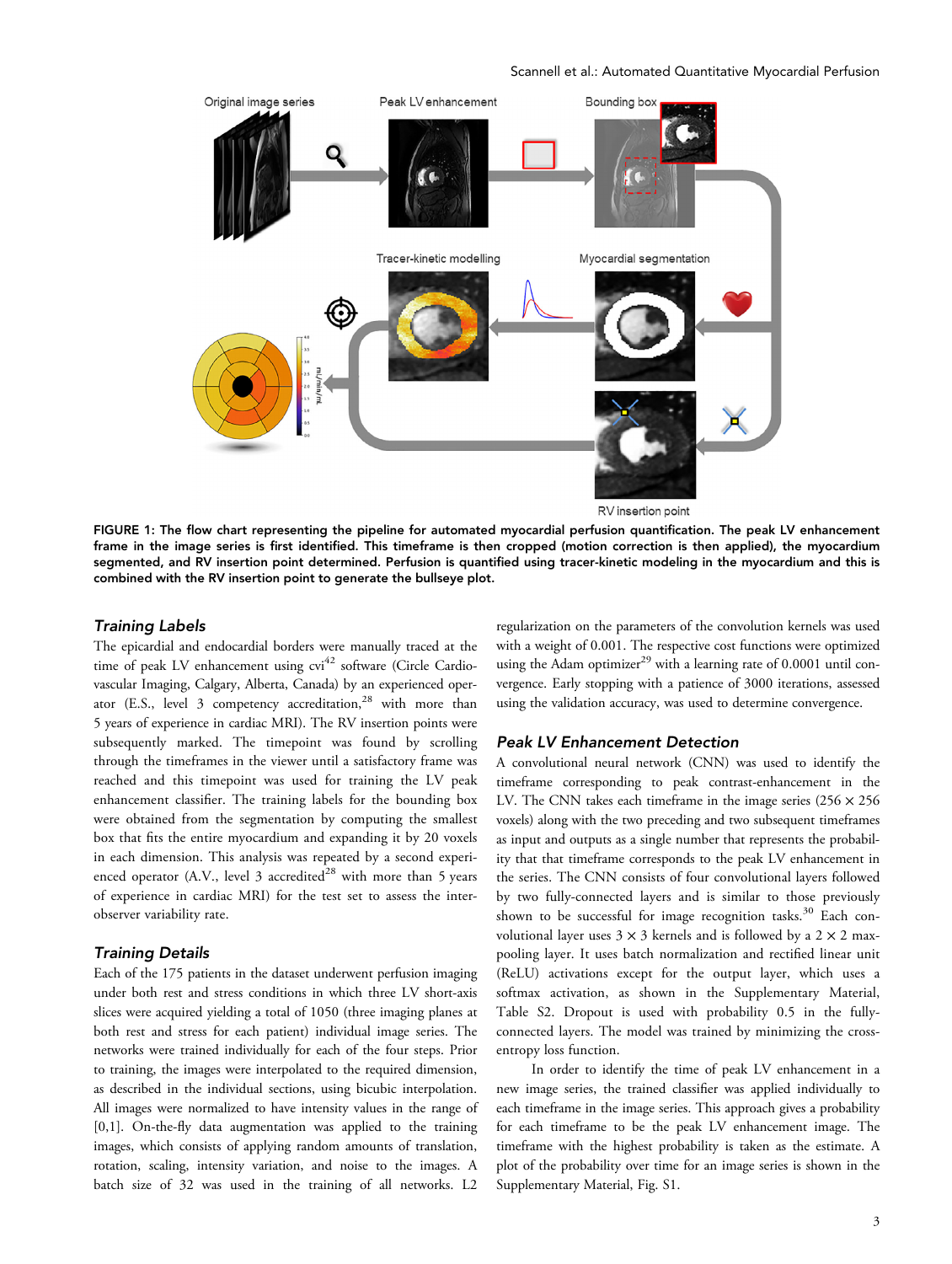

FIGURE 1: The flow chart representing the pipeline for automated myocardial perfusion quantification. The peak LV enhancement frame in the image series is first identified. This timeframe is then cropped (motion correction is then applied), the myocardium segmented, and RV insertion point determined. Perfusion is quantified using tracer-kinetic modeling in the myocardium and this is combined with the RV insertion point to generate the bullseye plot.

#### Training Labels

The epicardial and endocardial borders were manually traced at the time of peak LV enhancement using  $cvi^{42}$  software (Circle Cardiovascular Imaging, Calgary, Alberta, Canada) by an experienced operator (E.S., level 3 competency accreditation, $28$  with more than 5 years of experience in cardiac MRI). The RV insertion points were subsequently marked. The timepoint was found by scrolling through the timeframes in the viewer until a satisfactory frame was reached and this timepoint was used for training the LV peak enhancement classifier. The training labels for the bounding box were obtained from the segmentation by computing the smallest box that fits the entire myocardium and expanding it by 20 voxels in each dimension. This analysis was repeated by a second experienced operator (A.V., level 3 accredited $^{28}$  with more than 5 years of experience in cardiac MRI) for the test set to assess the interobserver variability rate.

### Training Details

Each of the 175 patients in the dataset underwent perfusion imaging under both rest and stress conditions in which three LV short-axis slices were acquired yielding a total of 1050 (three imaging planes at both rest and stress for each patient) individual image series. The networks were trained individually for each of the four steps. Prior to training, the images were interpolated to the required dimension, as described in the individual sections, using bicubic interpolation. All images were normalized to have intensity values in the range of [0,1]. On-the-fly data augmentation was applied to the training images, which consists of applying random amounts of translation, rotation, scaling, intensity variation, and noise to the images. A batch size of 32 was used in the training of all networks. L2 regularization on the parameters of the convolution kernels was used with a weight of 0.001. The respective cost functions were optimized using the Adam optimizer<sup>29</sup> with a learning rate of 0.0001 until convergence. Early stopping with a patience of 3000 iterations, assessed using the validation accuracy, was used to determine convergence.

## Peak LV Enhancement Detection

A convolutional neural network (CNN) was used to identify the timeframe corresponding to peak contrast-enhancement in the LV. The CNN takes each timeframe in the image series  $(256 \times 256)$ voxels) along with the two preceding and two subsequent timeframes as input and outputs as a single number that represents the probability that that timeframe corresponds to the peak LV enhancement in the series. The CNN consists of four convolutional layers followed by two fully-connected layers and is similar to those previously shown to be successful for image recognition tasks.<sup>30</sup> Each convolutional layer uses  $3 \times 3$  kernels and is followed by a  $2 \times 2$  maxpooling layer. It uses batch normalization and rectified linear unit (ReLU) activations except for the output layer, which uses a softmax activation, as shown in the Supplementary Material, Table S2. Dropout is used with probability 0.5 in the fullyconnected layers. The model was trained by minimizing the crossentropy loss function.

In order to identify the time of peak LV enhancement in a new image series, the trained classifier was applied individually to each timeframe in the image series. This approach gives a probability for each timeframe to be the peak LV enhancement image. The timeframe with the highest probability is taken as the estimate. A plot of the probability over time for an image series is shown in the Supplementary Material, Fig. S1.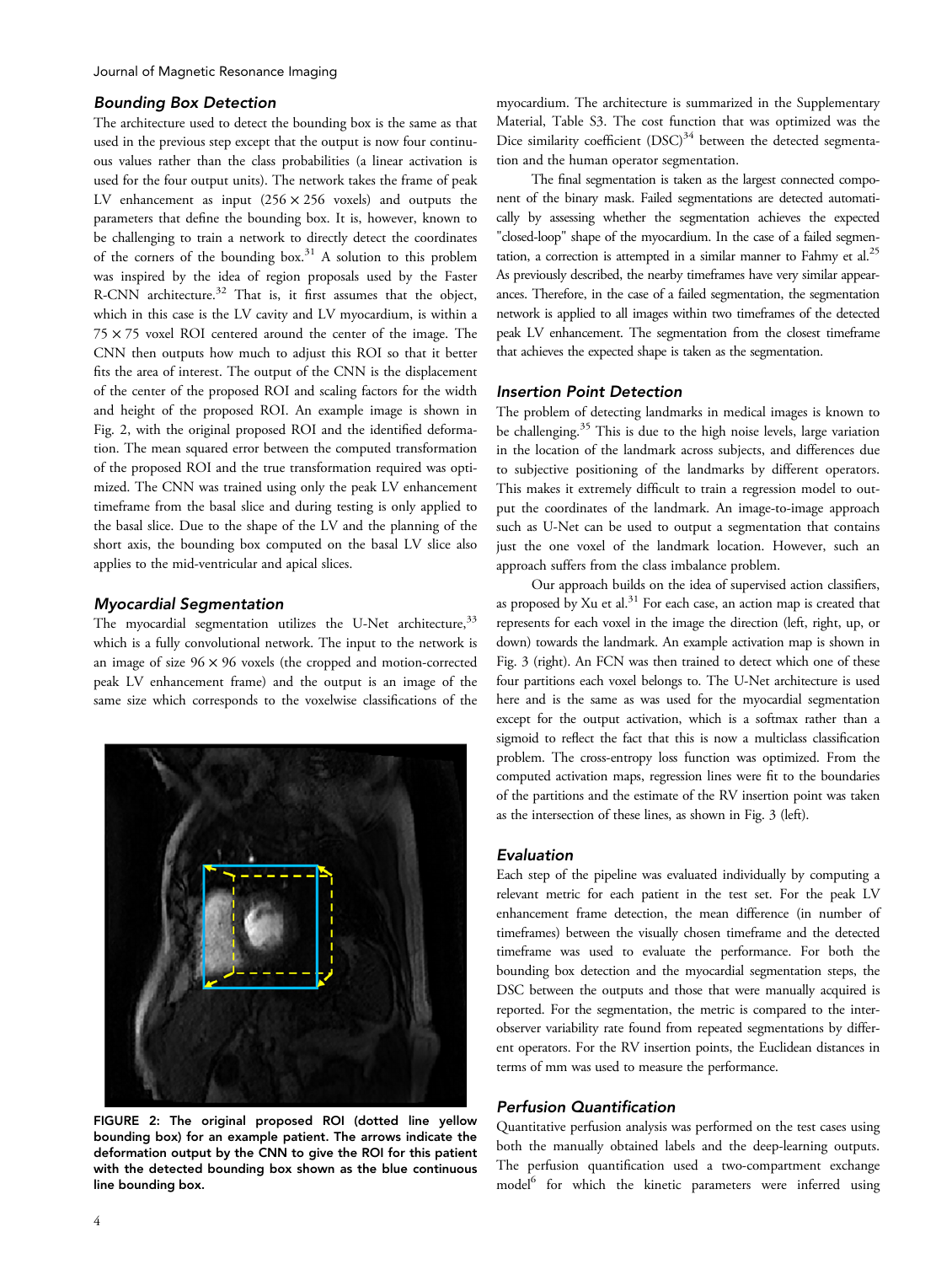#### Bounding Box Detection

The architecture used to detect the bounding box is the same as that used in the previous step except that the output is now four continuous values rather than the class probabilities (a linear activation is used for the four output units). The network takes the frame of peak LV enhancement as input  $(256 \times 256$  voxels) and outputs the parameters that define the bounding box. It is, however, known to be challenging to train a network to directly detect the coordinates of the corners of the bounding box.<sup>31</sup> A solution to this problem was inspired by the idea of region proposals used by the Faster R-CNN architecture.<sup>32</sup> That is, it first assumes that the object, which in this case is the LV cavity and LV myocardium, is within a  $75 \times 75$  voxel ROI centered around the center of the image. The CNN then outputs how much to adjust this ROI so that it better fits the area of interest. The output of the CNN is the displacement of the center of the proposed ROI and scaling factors for the width and height of the proposed ROI. An example image is shown in Fig. 2, with the original proposed ROI and the identified deformation. The mean squared error between the computed transformation of the proposed ROI and the true transformation required was optimized. The CNN was trained using only the peak LV enhancement timeframe from the basal slice and during testing is only applied to the basal slice. Due to the shape of the LV and the planning of the short axis, the bounding box computed on the basal LV slice also applies to the mid-ventricular and apical slices.

#### Myocardial Segmentation

The myocardial segmentation utilizes the U-Net architecture, 33 which is a fully convolutional network. The input to the network is an image of size 96 × 96 voxels (the cropped and motion-corrected peak LV enhancement frame) and the output is an image of the same size which corresponds to the voxelwise classifications of the



FIGURE 2: The original proposed ROI (dotted line yellow bounding box) for an example patient. The arrows indicate the deformation output by the CNN to give the ROI for this patient with the detected bounding box shown as the blue continuous line bounding box.

myocardium. The architecture is summarized in the Supplementary Material, Table S3. The cost function that was optimized was the Dice similarity coefficient  $(DSC)^{34}$  between the detected segmentation and the human operator segmentation.

The final segmentation is taken as the largest connected component of the binary mask. Failed segmentations are detected automatically by assessing whether the segmentation achieves the expected "closed-loop" shape of the myocardium. In the case of a failed segmentation, a correction is attempted in a similar manner to Fahmy et al.<sup>25</sup> As previously described, the nearby timeframes have very similar appearances. Therefore, in the case of a failed segmentation, the segmentation network is applied to all images within two timeframes of the detected peak LV enhancement. The segmentation from the closest timeframe that achieves the expected shape is taken as the segmentation.

## Insertion Point Detection

The problem of detecting landmarks in medical images is known to be challenging.<sup>35</sup> This is due to the high noise levels, large variation in the location of the landmark across subjects, and differences due to subjective positioning of the landmarks by different operators. This makes it extremely difficult to train a regression model to output the coordinates of the landmark. An image-to-image approach such as U-Net can be used to output a segmentation that contains just the one voxel of the landmark location. However, such an approach suffers from the class imbalance problem.

Our approach builds on the idea of supervised action classifiers, as proposed by Xu et al. $31$  For each case, an action map is created that represents for each voxel in the image the direction (left, right, up, or down) towards the landmark. An example activation map is shown in Fig. 3 (right). An FCN was then trained to detect which one of these four partitions each voxel belongs to. The U-Net architecture is used here and is the same as was used for the myocardial segmentation except for the output activation, which is a softmax rather than a sigmoid to reflect the fact that this is now a multiclass classification problem. The cross-entropy loss function was optimized. From the computed activation maps, regression lines were fit to the boundaries of the partitions and the estimate of the RV insertion point was taken as the intersection of these lines, as shown in Fig. 3 (left).

#### Evaluation

Each step of the pipeline was evaluated individually by computing a relevant metric for each patient in the test set. For the peak LV enhancement frame detection, the mean difference (in number of timeframes) between the visually chosen timeframe and the detected timeframe was used to evaluate the performance. For both the bounding box detection and the myocardial segmentation steps, the DSC between the outputs and those that were manually acquired is reported. For the segmentation, the metric is compared to the interobserver variability rate found from repeated segmentations by different operators. For the RV insertion points, the Euclidean distances in terms of mm was used to measure the performance.

## Perfusion Quantification

Quantitative perfusion analysis was performed on the test cases using both the manually obtained labels and the deep-learning outputs. The perfusion quantification used a two-compartment exchange model<sup>6</sup> for which the kinetic parameters were inferred using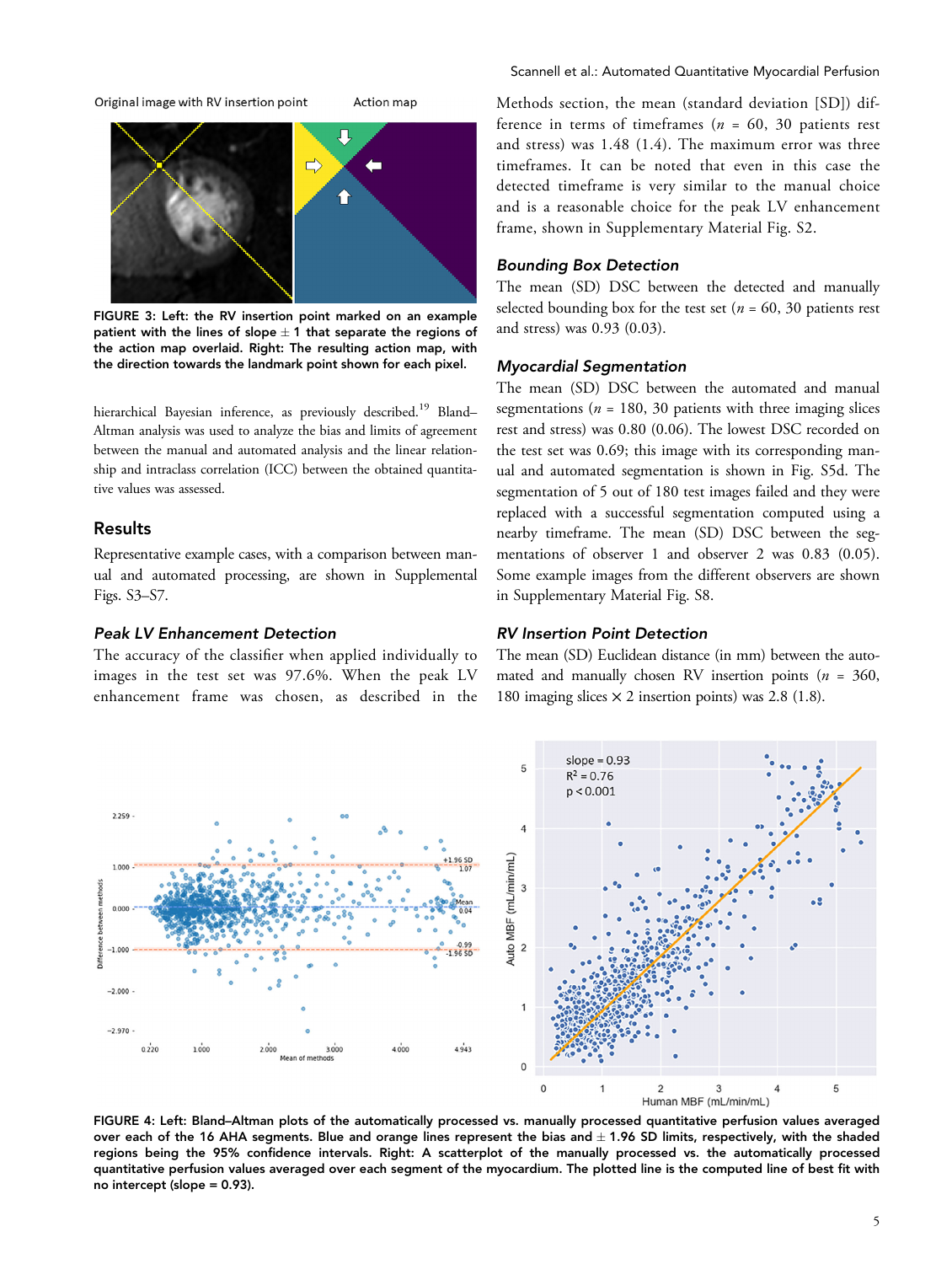Original image with RV insertion point

Action map



FIGURE 3: Left: the RV insertion point marked on an example patient with the lines of slope  $\pm$  1 that separate the regions of the action map overlaid. Right: The resulting action map, with the direction towards the landmark point shown for each pixel.

hierarchical Bayesian inference, as previously described.<sup>19</sup> Bland– Altman analysis was used to analyze the bias and limits of agreement between the manual and automated analysis and the linear relationship and intraclass correlation (ICC) between the obtained quantitative values was assessed.

## Results

Representative example cases, with a comparison between manual and automated processing, are shown in Supplemental Figs. S3–S7.

## Peak LV Enhancement Detection

The accuracy of the classifier when applied individually to images in the test set was 97.6%. When the peak LV enhancement frame was chosen, as described in the Methods section, the mean (standard deviation [SD]) difference in terms of timeframes ( $n = 60, 30$  patients rest and stress) was 1.48 (1.4). The maximum error was three timeframes. It can be noted that even in this case the detected timeframe is very similar to the manual choice and is a reasonable choice for the peak LV enhancement frame, shown in Supplementary Material Fig. S2.

## Bounding Box Detection

The mean (SD) DSC between the detected and manually selected bounding box for the test set ( $n = 60, 30$  patients rest and stress) was 0.93 (0.03).

## Myocardial Segmentation

The mean (SD) DSC between the automated and manual segmentations ( $n = 180, 30$  patients with three imaging slices rest and stress) was 0.80 (0.06). The lowest DSC recorded on the test set was 0.69; this image with its corresponding manual and automated segmentation is shown in Fig. S5d. The segmentation of 5 out of 180 test images failed and they were replaced with a successful segmentation computed using a nearby timeframe. The mean (SD) DSC between the segmentations of observer 1 and observer 2 was 0.83 (0.05). Some example images from the different observers are shown in Supplementary Material Fig. S8.

## RV Insertion Point Detection

The mean (SD) Euclidean distance (in mm) between the automated and manually chosen RV insertion points ( $n = 360$ , 180 imaging slices  $\times$  2 insertion points) was 2.8 (1.8).



FIGURE 4: Left: Bland–Altman plots of the automatically processed vs. manually processed quantitative perfusion values averaged over each of the 16 AHA segments. Blue and orange lines represent the bias and  $\pm$  1.96 SD limits, respectively, with the shaded regions being the 95% confidence intervals. Right: A scatterplot of the manually processed vs. the automatically processed quantitative perfusion values averaged over each segment of the myocardium. The plotted line is the computed line of best fit with no intercept (slope = 0.93).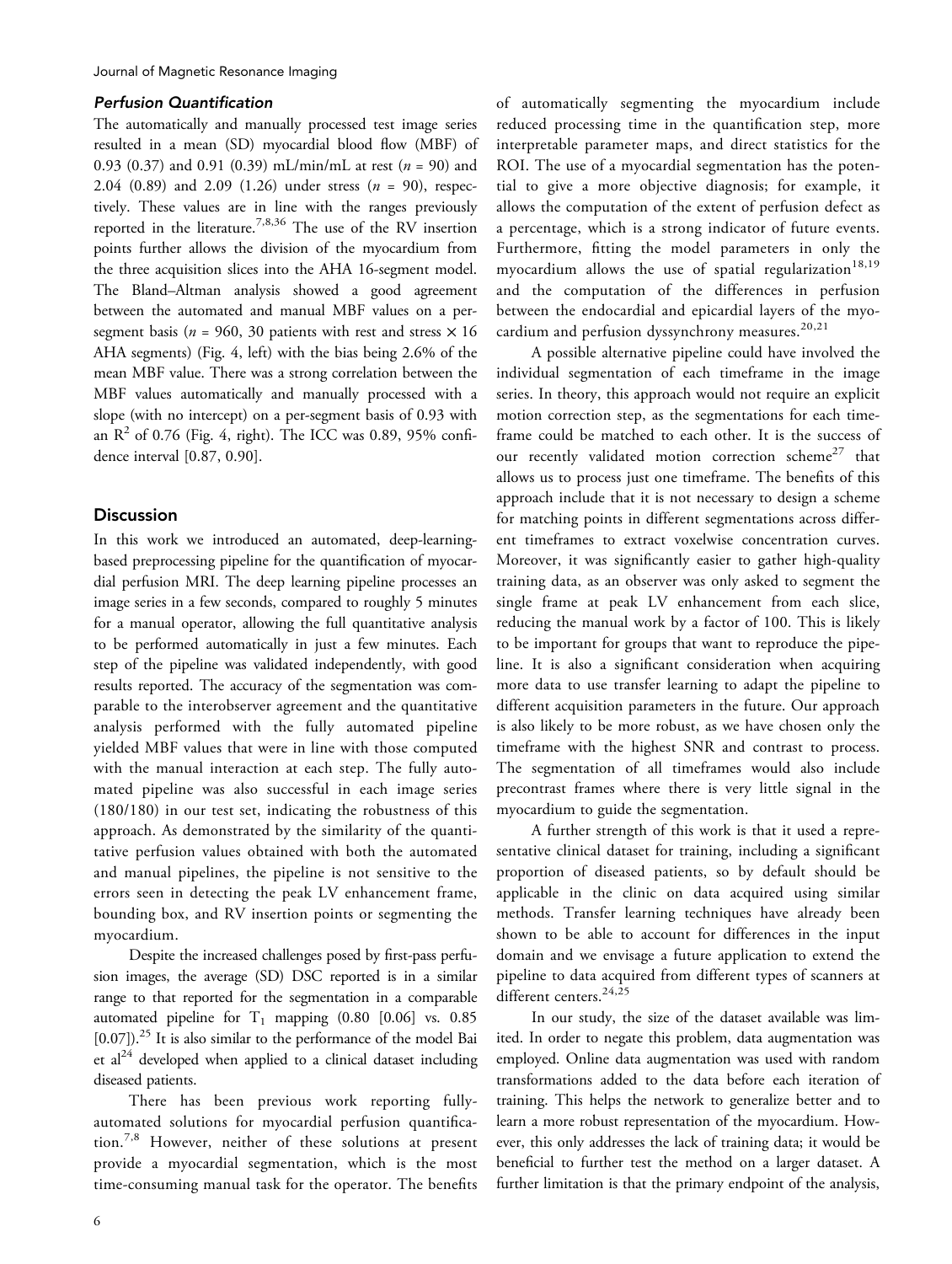### Perfusion Quantification

The automatically and manually processed test image series resulted in a mean (SD) myocardial blood flow (MBF) of 0.93 (0.37) and 0.91 (0.39) mL/min/mL at rest ( $n = 90$ ) and 2.04 (0.89) and 2.09 (1.26) under stress  $(n = 90)$ , respectively. These values are in line with the ranges previously reported in the literature.7,8,36 The use of the RV insertion points further allows the division of the myocardium from the three acquisition slices into the AHA 16-segment model. The Bland–Altman analysis showed a good agreement between the automated and manual MBF values on a persegment basis ( $n = 960, 30$  patients with rest and stress  $\times 16$ AHA segments) (Fig. 4, left) with the bias being 2.6% of the mean MBF value. There was a strong correlation between the MBF values automatically and manually processed with a slope (with no intercept) on a per-segment basis of 0.93 with an  $R^2$  of 0.76 (Fig. 4, right). The ICC was 0.89, 95% confidence interval [0.87, 0.90].

# **Discussion**

In this work we introduced an automated, deep-learningbased preprocessing pipeline for the quantification of myocardial perfusion MRI. The deep learning pipeline processes an image series in a few seconds, compared to roughly 5 minutes for a manual operator, allowing the full quantitative analysis to be performed automatically in just a few minutes. Each step of the pipeline was validated independently, with good results reported. The accuracy of the segmentation was comparable to the interobserver agreement and the quantitative analysis performed with the fully automated pipeline yielded MBF values that were in line with those computed with the manual interaction at each step. The fully automated pipeline was also successful in each image series (180/180) in our test set, indicating the robustness of this approach. As demonstrated by the similarity of the quantitative perfusion values obtained with both the automated and manual pipelines, the pipeline is not sensitive to the errors seen in detecting the peak LV enhancement frame, bounding box, and RV insertion points or segmenting the myocardium.

Despite the increased challenges posed by first-pass perfusion images, the average (SD) DSC reported is in a similar range to that reported for the segmentation in a comparable automated pipeline for  $T_1$  mapping (0.80 [0.06] vs. 0.85  $[0.07]$ .<sup>25</sup> It is also similar to the performance of the model Bai et al<sup>24</sup> developed when applied to a clinical dataset including diseased patients.

There has been previous work reporting fullyautomated solutions for myocardial perfusion quantification.7,8 However, neither of these solutions at present provide a myocardial segmentation, which is the most time-consuming manual task for the operator. The benefits

of automatically segmenting the myocardium include reduced processing time in the quantification step, more interpretable parameter maps, and direct statistics for the ROI. The use of a myocardial segmentation has the potential to give a more objective diagnosis; for example, it allows the computation of the extent of perfusion defect as a percentage, which is a strong indicator of future events. Furthermore, fitting the model parameters in only the myocardium allows the use of spatial regularization<sup>18,19</sup> and the computation of the differences in perfusion between the endocardial and epicardial layers of the myocardium and perfusion dyssynchrony measures.<sup>20,21</sup>

A possible alternative pipeline could have involved the individual segmentation of each timeframe in the image series. In theory, this approach would not require an explicit motion correction step, as the segmentations for each timeframe could be matched to each other. It is the success of our recently validated motion correction scheme<sup>27</sup> that allows us to process just one timeframe. The benefits of this approach include that it is not necessary to design a scheme for matching points in different segmentations across different timeframes to extract voxelwise concentration curves. Moreover, it was significantly easier to gather high-quality training data, as an observer was only asked to segment the single frame at peak LV enhancement from each slice, reducing the manual work by a factor of 100. This is likely to be important for groups that want to reproduce the pipeline. It is also a significant consideration when acquiring more data to use transfer learning to adapt the pipeline to different acquisition parameters in the future. Our approach is also likely to be more robust, as we have chosen only the timeframe with the highest SNR and contrast to process. The segmentation of all timeframes would also include precontrast frames where there is very little signal in the myocardium to guide the segmentation.

A further strength of this work is that it used a representative clinical dataset for training, including a significant proportion of diseased patients, so by default should be applicable in the clinic on data acquired using similar methods. Transfer learning techniques have already been shown to be able to account for differences in the input domain and we envisage a future application to extend the pipeline to data acquired from different types of scanners at different centers.<sup>24,25</sup>

In our study, the size of the dataset available was limited. In order to negate this problem, data augmentation was employed. Online data augmentation was used with random transformations added to the data before each iteration of training. This helps the network to generalize better and to learn a more robust representation of the myocardium. However, this only addresses the lack of training data; it would be beneficial to further test the method on a larger dataset. A further limitation is that the primary endpoint of the analysis,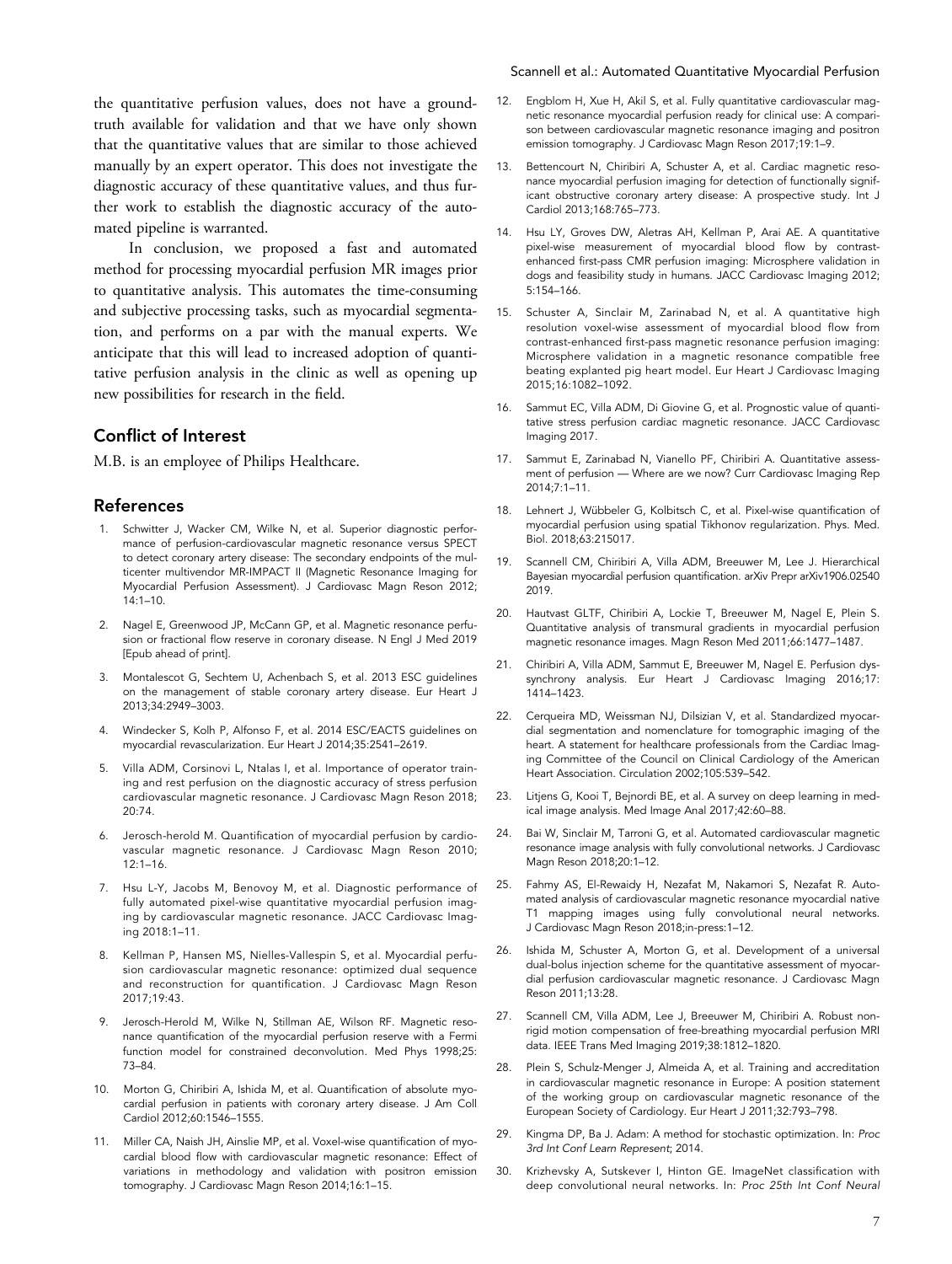#### Scannell et al.: Automated Quantitative Myocardial Perfusion

the quantitative perfusion values, does not have a groundtruth available for validation and that we have only shown that the quantitative values that are similar to those achieved manually by an expert operator. This does not investigate the diagnostic accuracy of these quantitative values, and thus further work to establish the diagnostic accuracy of the automated pipeline is warranted.

In conclusion, we proposed a fast and automated method for processing myocardial perfusion MR images prior to quantitative analysis. This automates the time-consuming and subjective processing tasks, such as myocardial segmentation, and performs on a par with the manual experts. We anticipate that this will lead to increased adoption of quantitative perfusion analysis in the clinic as well as opening up new possibilities for research in the field.

# Conflict of Interest

M.B. is an employee of Philips Healthcare.

## References

- 1. Schwitter J, Wacker CM, Wilke N, et al. Superior diagnostic performance of perfusion-cardiovascular magnetic resonance versus SPECT to detect coronary artery disease: The secondary endpoints of the multicenter multivendor MR-IMPACT II (Magnetic Resonance Imaging for Myocardial Perfusion Assessment). J Cardiovasc Magn Reson 2012; 14:1–10.
- 2. Nagel E, Greenwood JP, McCann GP, et al. Magnetic resonance perfusion or fractional flow reserve in coronary disease. N Engl J Med 2019 [Epub ahead of print].
- 3. Montalescot G, Sechtem U, Achenbach S, et al. 2013 ESC guidelines on the management of stable coronary artery disease. Eur Heart J 2013;34:2949–3003.
- 4. Windecker S, Kolh P, Alfonso F, et al. 2014 ESC/EACTS guidelines on myocardial revascularization. Eur Heart J 2014;35:2541–2619.
- 5. Villa ADM, Corsinovi L, Ntalas I, et al. Importance of operator training and rest perfusion on the diagnostic accuracy of stress perfusion cardiovascular magnetic resonance. J Cardiovasc Magn Reson 2018; 20:74.
- 6. Jerosch-herold M. Quantification of myocardial perfusion by cardiovascular magnetic resonance. J Cardiovasc Magn Reson 2010; 12:1–16.
- 7. Hsu L-Y, Jacobs M, Benovoy M, et al. Diagnostic performance of fully automated pixel-wise quantitative myocardial perfusion imaging by cardiovascular magnetic resonance. JACC Cardiovasc Imaging 2018:1–11.
- 8. Kellman P, Hansen MS, Nielles-Vallespin S, et al. Myocardial perfusion cardiovascular magnetic resonance: optimized dual sequence and reconstruction for quantification. J Cardiovasc Magn Reson 2017;19:43.
- 9. Jerosch-Herold M, Wilke N, Stillman AE, Wilson RF. Magnetic resonance quantification of the myocardial perfusion reserve with a Fermi function model for constrained deconvolution. Med Phys 1998;25: 73–84.
- 10. Morton G, Chiribiri A, Ishida M, et al. Quantification of absolute myocardial perfusion in patients with coronary artery disease. J Am Coll Cardiol 2012;60:1546–1555.
- 11. Miller CA, Naish JH, Ainslie MP, et al. Voxel-wise quantification of myocardial blood flow with cardiovascular magnetic resonance: Effect of variations in methodology and validation with positron emission tomography. J Cardiovasc Magn Reson 2014;16:1–15.
- 12. Engblom H, Xue H, Akil S, et al. Fully quantitative cardiovascular magnetic resonance myocardial perfusion ready for clinical use: A comparison between cardiovascular magnetic resonance imaging and positron emission tomography. J Cardiovasc Magn Reson 2017;19:1–9.
- 13. Bettencourt N, Chiribiri A, Schuster A, et al. Cardiac magnetic resonance myocardial perfusion imaging for detection of functionally significant obstructive coronary artery disease: A prospective study. Int J Cardiol 2013;168:765–773.
- 14. Hsu LY, Groves DW, Aletras AH, Kellman P, Arai AE. A quantitative pixel-wise measurement of myocardial blood flow by contrastenhanced first-pass CMR perfusion imaging: Microsphere validation in dogs and feasibility study in humans. JACC Cardiovasc Imaging 2012; 5:154–166.
- 15. Schuster A, Sinclair M, Zarinabad N, et al. A quantitative high resolution voxel-wise assessment of myocardial blood flow from contrast-enhanced first-pass magnetic resonance perfusion imaging: Microsphere validation in a magnetic resonance compatible free beating explanted pig heart model. Eur Heart J Cardiovasc Imaging 2015;16:1082–1092.
- 16. Sammut EC, Villa ADM, Di Giovine G, et al. Prognostic value of quantitative stress perfusion cardiac magnetic resonance. JACC Cardiovasc Imaging 2017.
- 17. Sammut E, Zarinabad N, Vianello PF, Chiribiri A. Quantitative assessment of perfusion — Where are we now? Curr Cardiovasc Imaging Rep 2014;7:1–11.
- 18. Lehnert J, Wübbeler G, Kolbitsch C, et al. Pixel-wise quantification of myocardial perfusion using spatial Tikhonov regularization. Phys. Med. Biol. 2018;63:215017.
- 19. Scannell CM, Chiribiri A, Villa ADM, Breeuwer M, Lee J. Hierarchical Bayesian myocardial perfusion quantification. arXiv Prepr arXiv1906.02540 2019.
- 20. Hautvast GLTF, Chiribiri A, Lockie T, Breeuwer M, Nagel E, Plein S. Quantitative analysis of transmural gradients in myocardial perfusion magnetic resonance images. Magn Reson Med 2011;66:1477–1487.
- 21. Chiribiri A, Villa ADM, Sammut E, Breeuwer M, Nagel E. Perfusion dyssynchrony analysis. Eur Heart J Cardiovasc Imaging 2016;17: 1414–1423.
- 22. Cerqueira MD, Weissman NJ, Dilsizian V, et al. Standardized myocardial segmentation and nomenclature for tomographic imaging of the heart. A statement for healthcare professionals from the Cardiac Imaging Committee of the Council on Clinical Cardiology of the American Heart Association. Circulation 2002;105:539–542.
- 23. Litjens G, Kooi T, Bejnordi BE, et al. A survey on deep learning in medical image analysis. Med Image Anal 2017;42:60–88.
- 24. Bai W, Sinclair M, Tarroni G, et al. Automated cardiovascular magnetic resonance image analysis with fully convolutional networks. J Cardiovasc Magn Reson 2018;20:1–12.
- 25. Fahmy AS, El-Rewaidy H, Nezafat M, Nakamori S, Nezafat R. Automated analysis of cardiovascular magnetic resonance myocardial native T1 mapping images using fully convolutional neural networks. J Cardiovasc Magn Reson 2018;in-press:1–12.
- Ishida M, Schuster A, Morton G, et al. Development of a universal dual-bolus injection scheme for the quantitative assessment of myocardial perfusion cardiovascular magnetic resonance. J Cardiovasc Magn Reson 2011;13:28.
- 27. Scannell CM, Villa ADM, Lee J, Breeuwer M, Chiribiri A. Robust nonrigid motion compensation of free-breathing myocardial perfusion MRI data. IEEE Trans Med Imaging 2019;38:1812–1820.
- 28. Plein S, Schulz-Menger J, Almeida A, et al. Training and accreditation in cardiovascular magnetic resonance in Europe: A position statement of the working group on cardiovascular magnetic resonance of the European Society of Cardiology. Eur Heart J 2011;32:793–798.
- 29. Kingma DP, Ba J. Adam: A method for stochastic optimization. In: Proc 3rd Int Conf Learn Represent; 2014.
- 30. Krizhevsky A, Sutskever I, Hinton GE. ImageNet classification with deep convolutional neural networks. In: Proc 25th Int Conf Neural